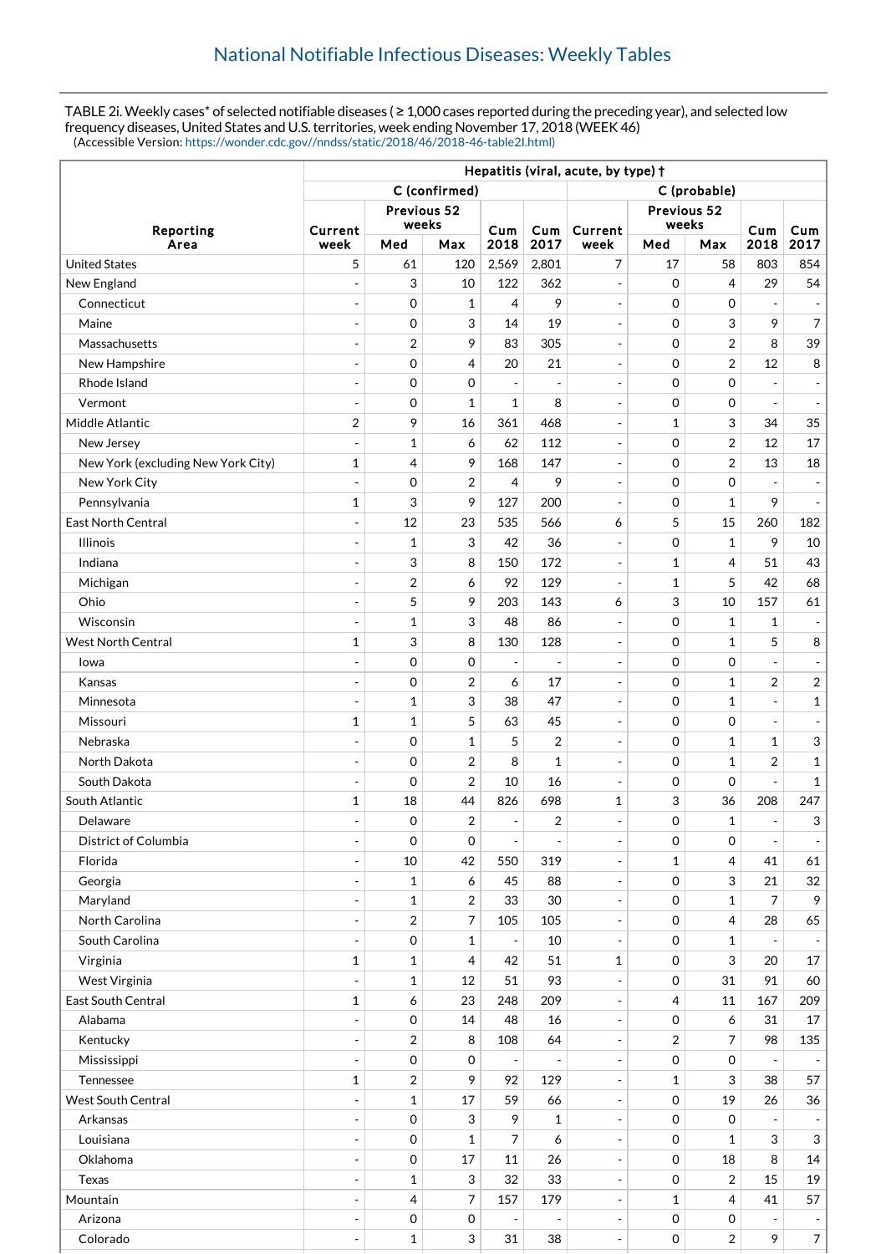TABLE 2i. Weekly cases\* of selected notifiable diseases (≥ 1,000 cases reported during the preceding year), and selected low frequency diseases, United States and U.S. territories, week ending November 17, 2018 (WEEK 46) (Accessible Version: [https://wonder.cdc.gov//nndss/static/2018/46/2018-46-table2I.html\)](https://wonder.cdc.gov//nndss/static/2018/46/2018-46-table2I.html)

|                                    | Hepatitis (viral, acute, by type) + |                     |                  |                              |                          |                          |                |                  |                          |                |  |
|------------------------------------|-------------------------------------|---------------------|------------------|------------------------------|--------------------------|--------------------------|----------------|------------------|--------------------------|----------------|--|
|                                    | C (confirmed)                       |                     |                  |                              |                          | C (probable)             |                |                  |                          |                |  |
| Reporting                          | Previous 52                         |                     |                  |                              |                          | Previous 52              |                |                  |                          |                |  |
|                                    | Current                             | weeks               |                  | Cum                          | Cum                      | Current                  | weeks          |                  | Cum                      | Cum            |  |
| Area                               | week                                | Med                 | Max              | 2018                         | 2017                     | week                     | Med            | Max              | 2018                     | 2017           |  |
| <b>United States</b>               | 5                                   | 61                  | 120              | 2,569                        | 2,801                    | 7                        | 17             | 58               | 803                      | 854            |  |
| New England                        | ÷                                   | 3                   | 10               | 122                          | 362                      | $\overline{\phantom{a}}$ | $\mathbf 0$    | $\overline{4}$   | 29                       | 54             |  |
| Connecticut                        | $\overline{a}$                      | $\mathbf 0$         | $\mathbf{1}$     | 4                            | 9                        | $\blacksquare$           | $\mathbf 0$    | $\mathbf 0$      | ÷,                       |                |  |
| Maine                              | ÷                                   | 0                   | 3                | 14                           | 19                       | $\overline{\phantom{a}}$ | $\mathbf 0$    | 3                | 9                        | $\overline{7}$ |  |
| Massachusetts                      | $\overline{a}$                      | $\overline{2}$      | 9                | 83                           | 305                      | $\blacksquare$           | $\mathbf 0$    | $\overline{2}$   | 8                        | 39             |  |
| New Hampshire                      | $\overline{a}$                      | $\mathbf 0$         | 4                | 20                           | 21                       | $\overline{\phantom{a}}$ | $\mathbf 0$    | $\overline{2}$   | 12                       | 8              |  |
| Rhode Island                       | $\overline{a}$                      | $\mathbf 0$         | 0                | $\overline{\phantom{a}}$     |                          | $\overline{\phantom{a}}$ | $\mathbf 0$    | $\mathbf 0$      |                          |                |  |
| Vermont                            |                                     | 0                   | $\mathbf{1}$     | 1                            | 8                        | $\overline{\phantom{a}}$ | $\mathbf 0$    | $\mathbf 0$      | $\overline{a}$           |                |  |
| Middle Atlantic                    | $\overline{2}$                      | 9                   | 16               | 361                          | 468                      | $\overline{\phantom{a}}$ | $\mathbf{1}$   | 3                | 34                       | 35             |  |
| New Jersey                         |                                     | $\mathbf 1$         | 6                | 62                           | 112                      | $\blacksquare$           | $\mathbf 0$    | $\overline{2}$   | 12                       | 17             |  |
| New York (excluding New York City) | $\mathbf 1$                         | 4                   | 9                | 168                          | 147                      | $\overline{\phantom{a}}$ | $\mathbf 0$    | $\overline{2}$   | 13                       | 18             |  |
| New York City                      | $\overline{\phantom{a}}$            | $\mathbf 0$         | $\overline{2}$   | 4                            | 9                        | $\overline{\phantom{a}}$ | $\mathbf 0$    | $\mathbf 0$      | $\overline{a}$           |                |  |
| Pennsylvania                       | 1                                   | 3                   | 9                | 127                          | 200                      | $\blacksquare$           | $\mathbf 0$    | $\mathbf{1}$     | 9                        |                |  |
| <b>East North Central</b>          | $\overline{a}$                      | 12                  | 23               | 535                          | 566                      | 6                        | 5              | 15               | 260                      | 182            |  |
| <b>Illinois</b>                    | $\overline{\phantom{a}}$            | $\mathbf{1}$        | 3                | 42                           | 36                       | $\overline{\phantom{a}}$ | $\mathbf 0$    | $\mathbf{1}$     | 9                        | 10             |  |
| Indiana                            | $\overline{\phantom{a}}$            | 3                   | 8                | 150                          | 172                      | $\overline{\phantom{a}}$ | 1              | $\overline{4}$   | 51                       | 43             |  |
| Michigan                           | $\overline{a}$                      | $\overline{2}$      | 6                | 92                           | 129                      | $\overline{\phantom{a}}$ | 1              | 5                | 42                       | 68             |  |
| Ohio                               | $\overline{a}$                      | 5                   | 9                | 203                          | 143                      | 6                        | 3              | 10               | 157                      | 61             |  |
| Wisconsin                          |                                     | $\mathbf 1$         | 3                | 48                           | 86                       | $\overline{\phantom{a}}$ | $\mathbf 0$    | $\mathbf{1}$     | 1                        |                |  |
| <b>West North Central</b>          | $\mathbf{1}$                        | 3                   | 8                | 130                          | 128                      | $\overline{\phantom{a}}$ | $\mathbf 0$    | $\mathbf{1}$     | 5                        | 8              |  |
| Iowa                               |                                     | 0                   | 0                | $\overline{a}$               | $\overline{a}$           | $\overline{\phantom{a}}$ | $\mathbf 0$    | $\mathbf 0$      |                          |                |  |
| Kansas                             | $\overline{a}$                      | 0                   | $\overline{2}$   | 6                            | 17                       | $\blacksquare$           | $\mathbf 0$    | $\mathbf{1}$     | $\overline{2}$           | $\sqrt{2}$     |  |
| Minnesota                          | $\overline{a}$                      | $\mathbf{1}$        | 3                | 38                           | 47                       | $\overline{\phantom{a}}$ | $\Omega$       | $\mathbf{1}$     | L                        | $\mathbf 1$    |  |
| Missouri                           | 1                                   | $\mathbf 1$         | 5                | 63                           | 45                       | $\overline{\phantom{a}}$ | $\Omega$       | $\mathbf 0$      | $\overline{a}$           |                |  |
| Nebraska                           | $\overline{a}$                      | $\mathbf 0$         | $\mathbf{1}$     | 5                            | 2                        | $\overline{\phantom{a}}$ | $\mathbf 0$    | $\mathbf{1}$     | 1                        | 3              |  |
| North Dakota                       | ÷,                                  | $\mathbf 0$         | $\overline{2}$   | 8                            | 1                        | $\overline{\phantom{a}}$ | $\mathbf 0$    | $\mathbf{1}$     | $\overline{2}$           | $\mathbf{1}$   |  |
| South Dakota                       | $\overline{\phantom{a}}$            | 0                   | $\overline{2}$   | 10                           | 16                       | $\overline{\phantom{a}}$ | $\mathbf 0$    | $\mathbf 0$      |                          | 1              |  |
| South Atlantic                     | 1                                   | 18                  | 44               | 826                          | 698                      | $\mathbf 1$              | 3              | 36               | 208                      | 247            |  |
| Delaware                           |                                     | $\mathbf 0$         | $\overline{2}$   | $\overline{\phantom{a}}$     | 2                        | $\overline{\phantom{a}}$ | $\Omega$       | $\mathbf{1}$     | $\overline{\phantom{a}}$ | 3              |  |
| District of Columbia               |                                     | 0                   | 0                | $\overline{\phantom{a}}$     | $\blacksquare$           | $\overline{\phantom{a}}$ | $\mathbf 0$    | 0                |                          |                |  |
| Florida                            | $\overline{\phantom{a}}$            | $10\,$              | 42               | 550                          | 319                      | $\Box$                   | 1              | $\overline{4}$   | 41                       | 61             |  |
| Georgia                            |                                     | $\mathbf{1}$        | 6                | 45                           | 88                       | $\overline{\phantom{a}}$ | $\mathbf 0$    | 3                | 21                       | 32             |  |
| Maryland                           | $\overline{a}$                      | $\mathbf 1$         | 2                | 33                           | 30                       | $\overline{\phantom{a}}$ | $\mathbf 0$    | $\mathbf{1}$     | 7                        | 9              |  |
| North Carolina                     | $\overline{\phantom{a}}$            | $\overline{2}$      | 7                | 105                          | 105                      | $\overline{\phantom{a}}$ | $\mathbf 0$    | 4                | 28                       | 65             |  |
| South Carolina                     | $\overline{\phantom{a}}$            | $\,0\,$             | $\mathbf{1}$     | $\overline{\phantom{a}}$     | 10                       | $\Box$                   | $\mathbf 0$    | $\mathbf{1}$     |                          |                |  |
| Virginia                           | $\mathbf{1}$                        | $\mathbf 1$         | 4                | 42                           | 51                       | $\mathbf{1}$             | $\mathbf 0$    | 3                | 20                       | 17             |  |
| West Virginia                      | $\overline{\phantom{a}}$            | $\mathbf 1$         | 12               | 51                           | 93                       | $\qquad \qquad -$        | $\mathbf 0$    | 31               | 91                       | 60             |  |
| East South Central                 | $\mathbf{1}$                        | 6                   | 23               | 248                          | 209                      | $\overline{\phantom{a}}$ | $\overline{4}$ | 11               | 167                      | 209            |  |
| Alabama                            |                                     | $\mathbf 0$         | 14               | 48                           | 16                       | $\overline{\phantom{a}}$ | 0              | 6                | 31                       | 17             |  |
| Kentucky                           |                                     | $\overline{2}$      | 8                | 108                          | 64                       | $\blacksquare$           | $\overline{2}$ | $\overline{7}$   | 98                       | 135            |  |
| Mississippi                        | $\overline{a}$                      | $\,0\,$             | 0                | $\qquad \qquad \blacksquare$ | $\overline{\phantom{a}}$ | $\overline{\phantom{a}}$ | $\mathbf 0$    | $\boldsymbol{0}$ |                          |                |  |
| Tennessee                          | $\mathbf 1$                         | $\overline{2}$      | 9                | 92                           | 129                      | $\overline{\phantom{a}}$ | 1              | 3                | 38                       | 57             |  |
| <b>West South Central</b>          |                                     | $\mathbf{1}$        | 17               | 59                           | 66                       | $\blacksquare$           | $\mathbf 0$    | 19               | 26                       | 36             |  |
| Arkansas                           | $\overline{\phantom{a}}$            | $\mathsf{O}\xspace$ | 3                | 9                            | $\mathbf 1$              | $\overline{\phantom{a}}$ | $\mathbf 0$    | $\boldsymbol{0}$ |                          |                |  |
| Louisiana                          | $\overline{a}$                      | $\mathsf{O}\xspace$ | $\mathbf{1}$     | 7                            | 6                        | $\blacksquare$           | $\mathbf 0$    | $\mathbf{1}$     | 3                        | 3              |  |
| Oklahoma                           | ÷,                                  | $\mathbf 0$         | $17\,$           | 11                           | 26                       | $\overline{\phantom{a}}$ | $\mathbf 0$    | 18               | 8                        | 14             |  |
| Texas                              | $\overline{a}$                      | $\mathbf{1}$        | 3                | 32                           | 33                       | $\blacksquare$           | $\mathbf 0$    | $\overline{2}$   | 15                       | 19             |  |
| Mountain                           | $\overline{\phantom{a}}$            | 4                   | 7                | 157                          | 179                      | $\overline{\phantom{a}}$ | 1              | $\overline{4}$   | 41                       | 57             |  |
| Arizona                            |                                     | $\mbox{O}$          | $\boldsymbol{0}$ | $\overline{a}$               | -                        | $\overline{\phantom{a}}$ | $\mathbf 0$    | 0                |                          |                |  |
| Colorado                           | $\overline{a}$                      | $\mathbf{1}$        | 3                | 31                           | 38                       | $\blacksquare$           | $\mathbf 0$    | $\sqrt{2}$       | 9                        | $\overline{7}$ |  |